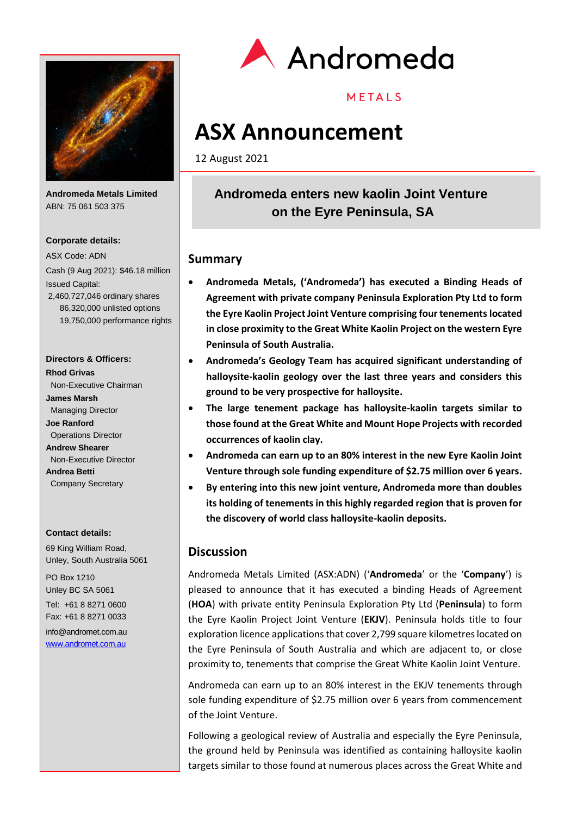

**Andromeda Metals Limited** ABN: 75 061 503 375

### **Corporate details:**

ASX Code: ADN Cash (9 Aug 2021): \$46.18 million Issued Capital: 2,460,727,046 ordinary shares 86,320,000 unlisted options 19,750,000 performance rights

### **Directors & Officers:**

**Rhod Grivas** Non-Executive Chairman **James Marsh** Managing Director **Joe Ranford** Operations Director **Andrew Shearer** Non-Executive Director **Andrea Betti** Company Secretary

#### **Contact details:**

69 King William Road, Unley, South Australia 5061

PO Box 1210 Unley BC SA 5061 Tel: +61 8 8271 0600 Fax: +61 8 8271 0033

info@andromet.com.au [www.andromet.com.au](http://www.andromet.com.au/)



## METALS

# **ASX Announcement**

12 August 2021

## **Andromeda enters new kaolin Joint Venture on the Eyre Peninsula, SA**

### **Summary**

- **Andromeda Metals, ('Andromeda') has executed a Binding Heads of Agreement with private company Peninsula Exploration Pty Ltd to form the Eyre Kaolin Project Joint Venture comprising four tenements located in close proximity to the Great White Kaolin Project on the western Eyre Peninsula of South Australia.**
- **Andromeda's Geology Team has acquired significant understanding of halloysite-kaolin geology over the last three years and considers this ground to be very prospective for halloysite.**
- **The large tenement package has halloysite-kaolin targets similar to those found at the Great White and Mount Hope Projects with recorded occurrences of kaolin clay.**
- **Andromeda can earn up to an 80% interest in the new Eyre Kaolin Joint Venture through sole funding expenditure of \$2.75 million over 6 years.**
- **By entering into this new joint venture, Andromeda more than doubles its holding of tenements in this highly regarded region that is proven for the discovery of world class halloysite-kaolin deposits.**

## **Discussion**

Andromeda Metals Limited (ASX:ADN) ('**Andromeda**' or the '**Company**') is pleased to announce that it has executed a binding Heads of Agreement (**HOA**) with private entity Peninsula Exploration Pty Ltd (**Peninsula**) to form the Eyre Kaolin Project Joint Venture (**EKJV**). Peninsula holds title to four exploration licence applications that cover 2,799 square kilometres located on the Eyre Peninsula of South Australia and which are adjacent to, or close proximity to, tenements that comprise the Great White Kaolin Joint Venture.

Andromeda can earn up to an 80% interest in the EKJV tenements through sole funding expenditure of \$2.75 million over 6 years from commencement of the Joint Venture.

Following a geological review of Australia and especially the Eyre Peninsula, the ground held by Peninsula was identified as containing halloysite kaolin targets similar to those found at numerous places across the Great White and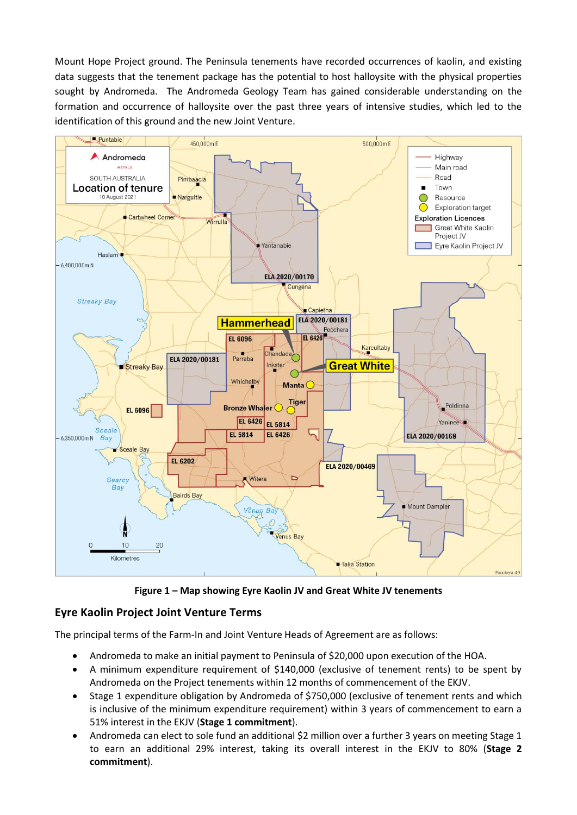Mount Hope Project ground. The Peninsula tenements have recorded occurrences of kaolin, and existing data suggests that the tenement package has the potential to host halloysite with the physical properties sought by Andromeda. The Andromeda Geology Team has gained considerable understanding on the formation and occurrence of halloysite over the past three years of intensive studies, which led to the identification of this ground and the new Joint Venture.



**Figure 1 – Map showing Eyre Kaolin JV and Great White JV tenements**

## **Eyre Kaolin Project Joint Venture Terms**

The principal terms of the Farm-In and Joint Venture Heads of Agreement are as follows:

- Andromeda to make an initial payment to Peninsula of \$20,000 upon execution of the HOA.
- A minimum expenditure requirement of \$140,000 (exclusive of tenement rents) to be spent by Andromeda on the Project tenements within 12 months of commencement of the EKJV.
- Stage 1 expenditure obligation by Andromeda of \$750,000 (exclusive of tenement rents and which is inclusive of the minimum expenditure requirement) within 3 years of commencement to earn a 51% interest in the EKJV (**Stage 1 commitment**).
- Andromeda can elect to sole fund an additional \$2 million over a further 3 years on meeting Stage 1 to earn an additional 29% interest, taking its overall interest in the EKJV to 80% (**Stage 2 commitment**).